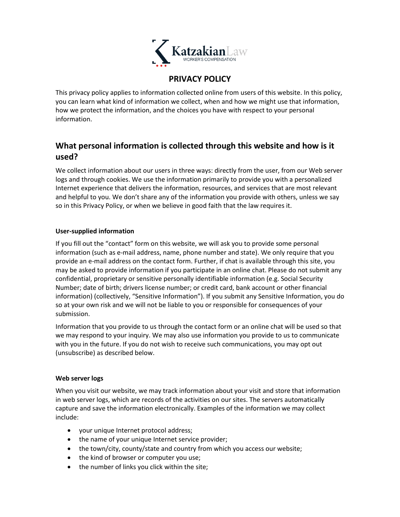

## **PRIVACY POLICY**

This privacy policy applies to information collected online from users of this website. In this policy, you can learn what kind of information we collect, when and how we might use that information, how we protect the information, and the choices you have with respect to your personal information.

# **What personal information is collected through this website and how is it used?**

We collect information about our users in three ways: directly from the user, from our Web server logs and through cookies. We use the information primarily to provide you with a personalized Internet experience that delivers the information, resources, and services that are most relevant and helpful to you. We don't share any of the information you provide with others, unless we say so in this Privacy Policy, or when we believe in good faith that the law requires it.

### **User-supplied information**

If you fill out the "contact" form on this website, we will ask you to provide some personal information (such as e-mail address, name, phone number and state). We only require that you provide an e-mail address on the contact form. Further, if chat is available through this site, you may be asked to provide information if you participate in an online chat. Please do not submit any confidential, proprietary or sensitive personally identifiable information (e.g. Social Security Number; date of birth; drivers license number; or credit card, bank account or other financial information) (collectively, "Sensitive Information"). If you submit any Sensitive Information, you do so at your own risk and we will not be liable to you or responsible for consequences of your submission.

Information that you provide to us through the contact form or an online chat will be used so that we may respond to your inquiry. We may also use information you provide to us to communicate with you in the future. If you do not wish to receive such communications, you may opt out (unsubscribe) as described below.

#### **Web server logs**

When you visit our website, we may track information about your visit and store that information in web server logs, which are records of the activities on our sites. The servers automatically capture and save the information electronically. Examples of the information we may collect include:

- your unique Internet protocol address;
- the name of your unique Internet service provider;
- the town/city, county/state and country from which you access our website;
- the kind of browser or computer you use;
- the number of links you click within the site;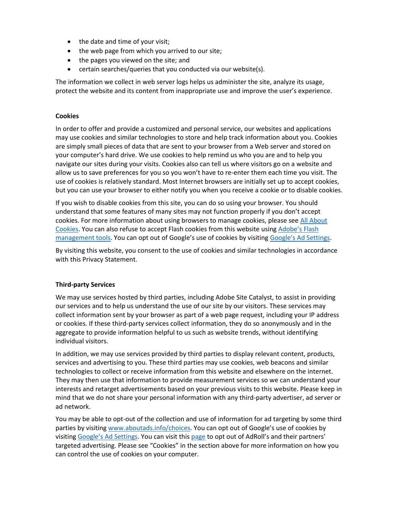- the date and time of your visit;
- the web page from which you arrived to our site;
- the pages you viewed on the site; and
- certain searches/queries that you conducted via our website(s).

The information we collect in web server logs helps us administer the site, analyze its usage, protect the website and its content from inappropriate use and improve the user's experience.

#### **Cookies**

In order to offer and provide a customized and personal service, our websites and applications may use cookies and similar technologies to store and help track information about you. Cookies are simply small pieces of data that are sent to your browser from a Web server and stored on your computer's hard drive. We use cookies to help remind us who you are and to help you navigate our sites during your visits. Cookies also can tell us where visitors go on a website and allow us to save preferences for you so you won't have to re-enter them each time you visit. The use of cookies is relatively standard. Most Internet browsers are initially set up to accept cookies, but you can use your browser to either notify you when you receive a cookie or to disable cookies.

If you wish to disable cookies from this site, you can do so using your browser. You should understand that some features of many sites may not function properly if you don't accept cookies. For more information about using browsers to manage cookies, please se[e All About](https://www.allaboutcookies.org/manage-cookies/)  [Cookies.](https://www.allaboutcookies.org/manage-cookies/) You can also refuse to accept Flash cookies from this website using [Adobe's Flash](https://www.adobe.com/devnet/security.html)  [management tools](https://www.adobe.com/devnet/security.html). You can opt out of Google's use of cookies by visiting [Google's Ad Settings](https://adssettings.google.com/authenticated).

By visiting this website, you consent to the use of cookies and similar technologies in accordance with this Privacy Statement.

#### **Third-party Services**

We may use services hosted by third parties, including Adobe Site Catalyst, to assist in providing our services and to help us understand the use of our site by our visitors. These services may collect information sent by your browser as part of a web page request, including your IP address or cookies. If these third-party services collect information, they do so anonymously and in the aggregate to provide information helpful to us such as website trends, without identifying individual visitors.

In addition, we may use services provided by third parties to display relevant content, products, services and advertising to you. These third parties may use cookies, web beacons and similar technologies to collect or receive information from this website and elsewhere on the internet. They may then use that information to provide measurement services so we can understand your interests and retarget advertisements based on your previous visits to this website. Please keep in mind that we do not share your personal information with any third-party advertiser, ad server or ad network.

You may be able to opt-out of the collection and use of information for ad targeting by some third parties by visitin[g www.aboutads.info/choices](http://www.aboutads.info/choices). You can opt out of Google's use of cookies by visiting [Google's Ad Settings](https://adssettings.google.com/authenticated). You can visit thi[s page](https://optout.networkadvertising.org/choices) to opt out of AdRoll's and their partners' targeted advertising. Please see "Cookies" in the section above for more information on how you can control the use of cookies on your computer.